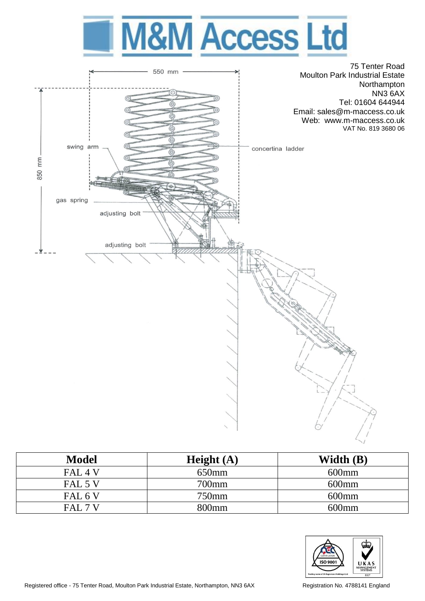



| <b>Model</b>       | Height $(A)$      | Width (B) |
|--------------------|-------------------|-----------|
| FAL <sub>4</sub> V | 650mm             | $600$ mm  |
| FAL 5 V            | 700mm             | $600$ mm  |
| FAL 6 V            | 750mm             | $600$ mm  |
| FAL 7 V            | 800 <sub>mm</sub> | $600$ mm  |